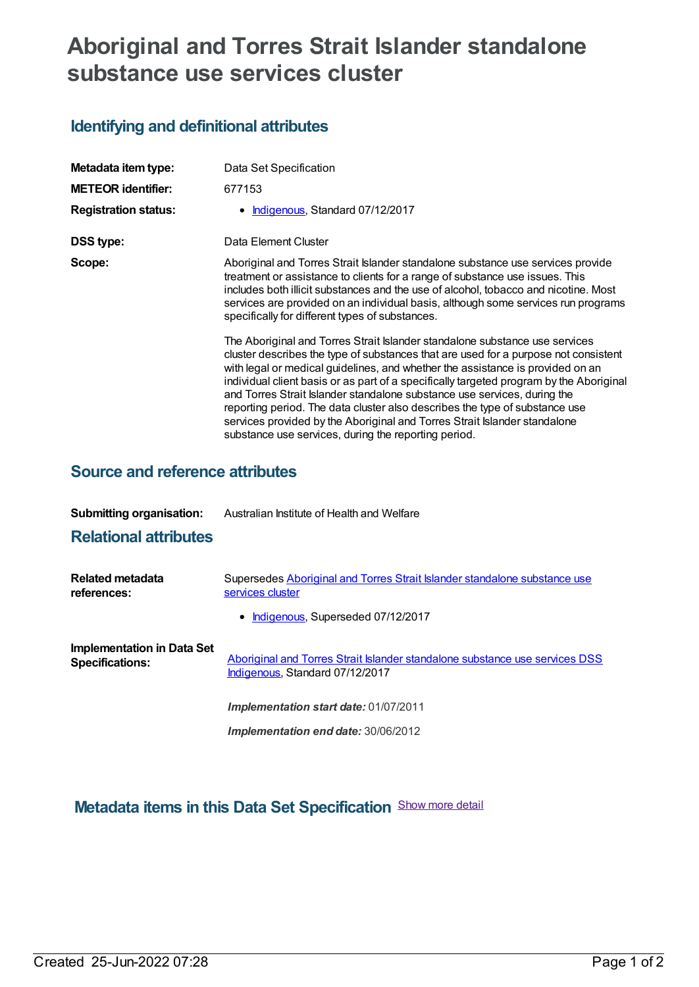# **Aboriginal and Torres Strait Islander standalone substance use services cluster**

## **Identifying and definitional attributes**

| Metadata item type:<br><b>METEOR identifier:</b> | Data Set Specification<br>677153                                                                                                                                                                                                                                                                                                                                                                                                                                                                                                                                                                                                                |
|--------------------------------------------------|-------------------------------------------------------------------------------------------------------------------------------------------------------------------------------------------------------------------------------------------------------------------------------------------------------------------------------------------------------------------------------------------------------------------------------------------------------------------------------------------------------------------------------------------------------------------------------------------------------------------------------------------------|
| <b>Registration status:</b>                      | Indigenous, Standard 07/12/2017                                                                                                                                                                                                                                                                                                                                                                                                                                                                                                                                                                                                                 |
| DSS type:                                        | Data Element Cluster                                                                                                                                                                                                                                                                                                                                                                                                                                                                                                                                                                                                                            |
| Scope:                                           | Aboriginal and Torres Strait Islander standalone substance use services provide<br>treatment or assistance to clients for a range of substance use issues. This<br>includes both illicit substances and the use of alcohol, tobacco and nicotine. Most<br>services are provided on an individual basis, although some services run programs<br>specifically for different types of substances.                                                                                                                                                                                                                                                  |
|                                                  | The Aboriginal and Torres Strait Islander standalone substance use services<br>cluster describes the type of substances that are used for a purpose not consistent<br>with legal or medical guidelines, and whether the assistance is provided on an<br>individual client basis or as part of a specifically targeted program by the Aboriginal<br>and Torres Strait Islander standalone substance use services, during the<br>reporting period. The data cluster also describes the type of substance use<br>services provided by the Aboriginal and Torres Strait Islander standalone<br>substance use services, during the reporting period. |

## **Source and reference attributes**

| <b>Submitting organisation:</b> | Australian Institute of Health and Welfare |
|---------------------------------|--------------------------------------------|
|---------------------------------|--------------------------------------------|

## **Relational attributes**

| Related metadata<br>references:                             | Supersedes Aboriginal and Torres Strait Islander standalone substance use<br>services cluster                  |  |  |
|-------------------------------------------------------------|----------------------------------------------------------------------------------------------------------------|--|--|
|                                                             | • Indigenous, Superseded 07/12/2017                                                                            |  |  |
| <b>Implementation in Data Set</b><br><b>Specifications:</b> | Aboriginal and Torres Strait Islander standalone substance use services DSS<br>Indigenous, Standard 07/12/2017 |  |  |
|                                                             | <b>Implementation start date: 01/07/2011</b>                                                                   |  |  |
|                                                             | <b>Implementation end date: 30/06/2012</b>                                                                     |  |  |

**Metadata items in this Data Set Specification** Show more detail